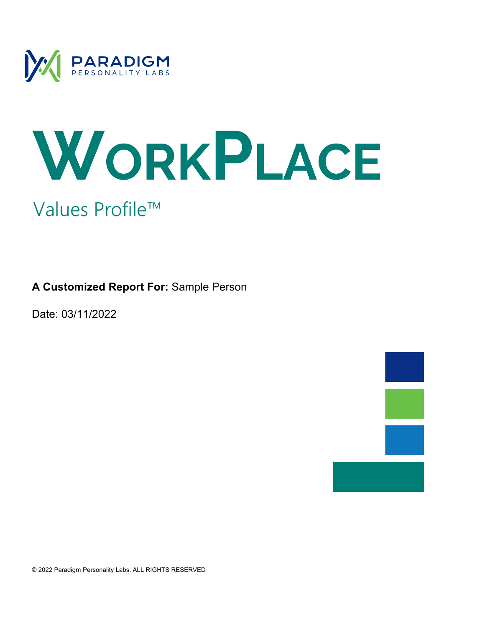

# WORKPLACE Values Profile™

**A Customized Report For:** Sample Person

Date: 03/11/2022

© 2022 Paradigm Personality Labs. ALL RIGHTS RESERVED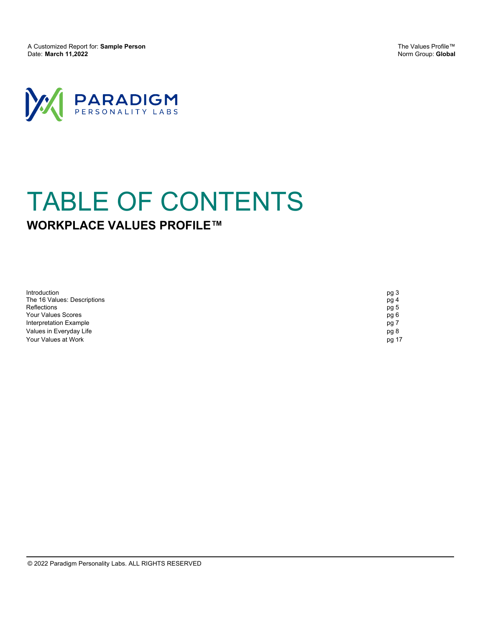A Customized Report for: **Sample Person** Date: **March 11,2022**

The Values Profile™ Norm Group: **Global**



## **WORKPLACE VALUES PROFILE™** TABLE OF CONTENTS

| Introduction                | pg 3  |
|-----------------------------|-------|
| The 16 Values: Descriptions | pg 4  |
| <b>Reflections</b>          | pg 5  |
| Your Values Scores          | pg 6  |
| Interpretation Example      | pg 7  |
| Values in Everyday Life     | pg 8  |
| Your Values at Work         | pg 17 |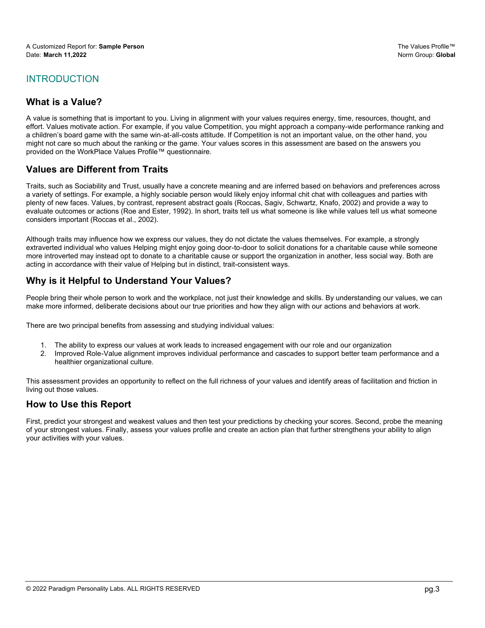#### INTRODUCTION

#### **What is a Value?**

A value is something that is important to you. Living in alignment with your values requires energy, time, resources, thought, and effort. Values motivate action. For example, if you value Competition, you might approach a company-wide performance ranking and a children's board game with the same win-at-all-costs attitude. If Competition is not an important value, on the other hand, you might not care so much about the ranking or the game. Your values scores in this assessment are based on the answers you provided on the WorkPlace Values Profile™ questionnaire.

#### **Values are Different from Traits**

Traits, such as Sociability and Trust, usually have a concrete meaning and are inferred based on behaviors and preferences across a variety of settings. For example, a highly sociable person would likely enjoy informal chit chat with colleagues and parties with plenty of new faces. Values, by contrast, represent abstract goals (Roccas, Sagiv, Schwartz, Knafo, 2002) and provide a way to evaluate outcomes or actions (Roe and Ester, 1992). In short, traits tell us what someone is like while values tell us what someone considers important (Roccas et al., 2002).

Although traits may influence how we express our values, they do not dictate the values themselves. For example, a strongly extraverted individual who values Helping might enjoy going door-to-door to solicit donations for a charitable cause while someone more introverted may instead opt to donate to a charitable cause or support the organization in another, less social way. Both are acting in accordance with their value of Helping but in distinct, trait-consistent ways.

#### **Why is it Helpful to Understand Your Values?**

People bring their whole person to work and the workplace, not just their knowledge and skills. By understanding our values, we can make more informed, deliberate decisions about our true priorities and how they align with our actions and behaviors at work.

There are two principal benefits from assessing and studying individual values:

- 1. The ability to express our values at work leads to increased engagement with our role and our organization
- 2. Improved Role-Value alignment improves individual performance and cascades to support better team performance and a healthier organizational culture.

This assessment provides an opportunity to reflect on the full richness of your values and identify areas of facilitation and friction in living out those values.

#### **How to Use this Report**

First, predict your strongest and weakest values and then test your predictions by checking your scores. Second, probe the meaning of your strongest values. Finally, assess your values profile and create an action plan that further strengthens your ability to align your activities with your values.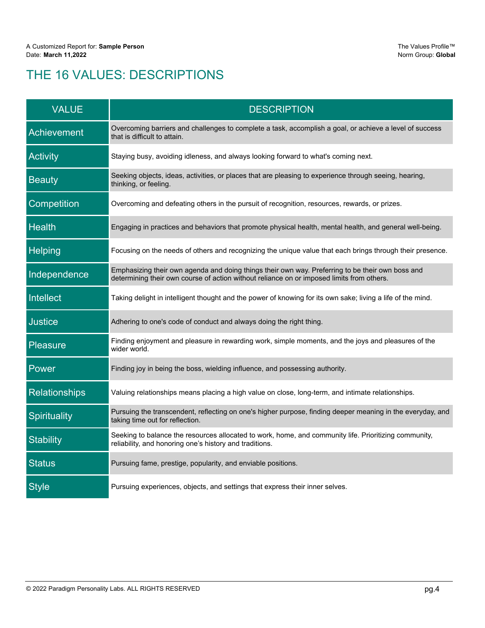## THE 16 VALUES: DESCRIPTIONS

| <b>VALUE</b>         | <b>DESCRIPTION</b>                                                                                                                                                                            |
|----------------------|-----------------------------------------------------------------------------------------------------------------------------------------------------------------------------------------------|
| Achievement          | Overcoming barriers and challenges to complete a task, accomplish a goal, or achieve a level of success<br>that is difficult to attain.                                                       |
| <b>Activity</b>      | Staying busy, avoiding idleness, and always looking forward to what's coming next.                                                                                                            |
| <b>Beauty</b>        | Seeking objects, ideas, activities, or places that are pleasing to experience through seeing, hearing,<br>thinking, or feeling.                                                               |
| Competition          | Overcoming and defeating others in the pursuit of recognition, resources, rewards, or prizes.                                                                                                 |
| <b>Health</b>        | Engaging in practices and behaviors that promote physical health, mental health, and general well-being.                                                                                      |
| Helping              | Focusing on the needs of others and recognizing the unique value that each brings through their presence.                                                                                     |
| Independence         | Emphasizing their own agenda and doing things their own way. Preferring to be their own boss and<br>determining their own course of action without reliance on or imposed limits from others. |
| Intellect            | Taking delight in intelligent thought and the power of knowing for its own sake; living a life of the mind.                                                                                   |
| <b>Justice</b>       | Adhering to one's code of conduct and always doing the right thing.                                                                                                                           |
| <b>Pleasure</b>      | Finding enjoyment and pleasure in rewarding work, simple moments, and the joys and pleasures of the<br>wider world.                                                                           |
| Power                | Finding joy in being the boss, wielding influence, and possessing authority.                                                                                                                  |
| <b>Relationships</b> | Valuing relationships means placing a high value on close, long-term, and intimate relationships.                                                                                             |
| Spirituality         | Pursuing the transcendent, reflecting on one's higher purpose, finding deeper meaning in the everyday, and<br>taking time out for reflection.                                                 |
| <b>Stability</b>     | Seeking to balance the resources allocated to work, home, and community life. Prioritizing community,<br>reliability, and honoring one's history and traditions.                              |
| <b>Status</b>        | Pursuing fame, prestige, popularity, and enviable positions.                                                                                                                                  |
| <b>Style</b>         | Pursuing experiences, objects, and settings that express their inner selves.                                                                                                                  |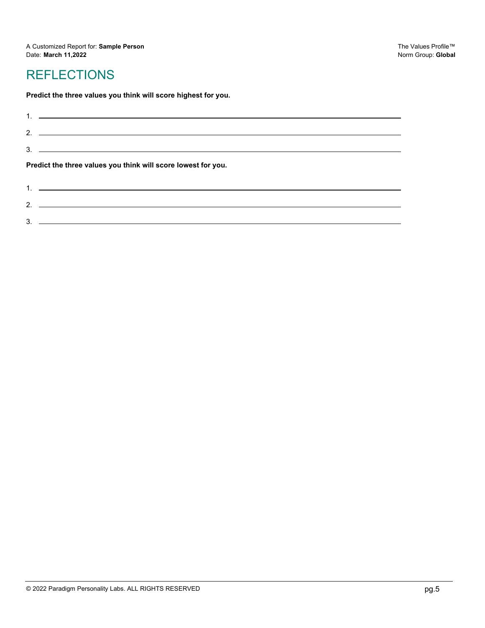## **REFLECTIONS**

3.

 $\frac{1}{2}$ 

**Predict the three values you think will score highest for you.**

|                                                               | $3.$ $\overline{\phantom{a}}$                                                                                                                                                                                                                                                                                          |  |
|---------------------------------------------------------------|------------------------------------------------------------------------------------------------------------------------------------------------------------------------------------------------------------------------------------------------------------------------------------------------------------------------|--|
| Predict the three values you think will score lowest for you. |                                                                                                                                                                                                                                                                                                                        |  |
|                                                               | $1.$ $\frac{1}{2}$ $\frac{1}{2}$ $\frac{1}{2}$ $\frac{1}{2}$ $\frac{1}{2}$ $\frac{1}{2}$ $\frac{1}{2}$ $\frac{1}{2}$ $\frac{1}{2}$ $\frac{1}{2}$ $\frac{1}{2}$ $\frac{1}{2}$ $\frac{1}{2}$ $\frac{1}{2}$ $\frac{1}{2}$ $\frac{1}{2}$ $\frac{1}{2}$ $\frac{1}{2}$ $\frac{1}{2}$ $\frac{1}{2}$ $\frac{1}{2}$ $\frac{1}{$ |  |
|                                                               |                                                                                                                                                                                                                                                                                                                        |  |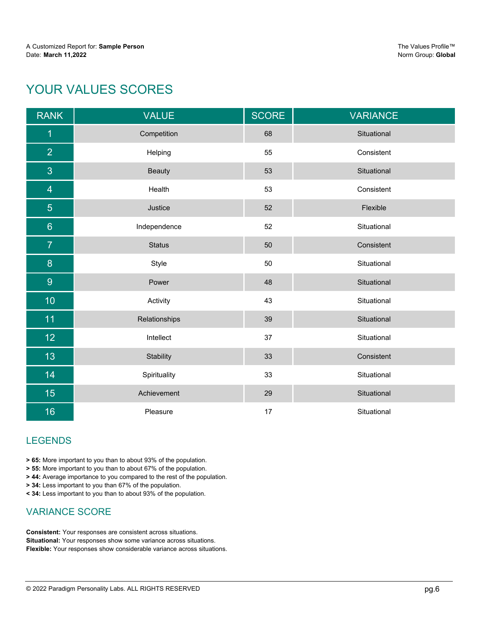## YOUR VALUES SCORES

| <b>RANK</b>      | <b>VALUE</b>  | <b>SCORE</b> | <b>VARIANCE</b> |
|------------------|---------------|--------------|-----------------|
| $\overline{1}$   | Competition   | 68           | Situational     |
| $\overline{2}$   | Helping       | 55           | Consistent      |
| 3                | <b>Beauty</b> | 53           | Situational     |
| $\overline{4}$   | Health        | 53           | Consistent      |
| $\overline{5}$   | Justice       | 52           | Flexible        |
| $6\phantom{1}$   | Independence  | 52           | Situational     |
| $\overline{7}$   | <b>Status</b> | 50           | Consistent      |
| $\boldsymbol{8}$ | Style         | 50           | Situational     |
| 9                | Power         | 48           | Situational     |
| 10 <sub>1</sub>  | Activity      | 43           | Situational     |
| 11               | Relationships | 39           | Situational     |
| 12 <sub>2</sub>  | Intellect     | 37           | Situational     |
| 13               | Stability     | 33           | Consistent      |
| 14               | Spirituality  | 33           | Situational     |
| 15               | Achievement   | 29           | Situational     |
| 16               | Pleasure      | 17           | Situational     |

#### LEGENDS

**> 65:** More important to you than to about 93% of the population.

**> 55:** More important to you than to about 67% of the population.

**> 44:** Average importance to you compared to the rest of the population.

**> 34:** Less important to you than 67% of the population.

**< 34:** Less important to you than to about 93% of the population.

#### VARIANCE SCORE

**Consistent:** Your responses are consistent across situations. **Situational:** Your responses show some variance across situations. **Flexible:** Your responses show considerable variance across situations.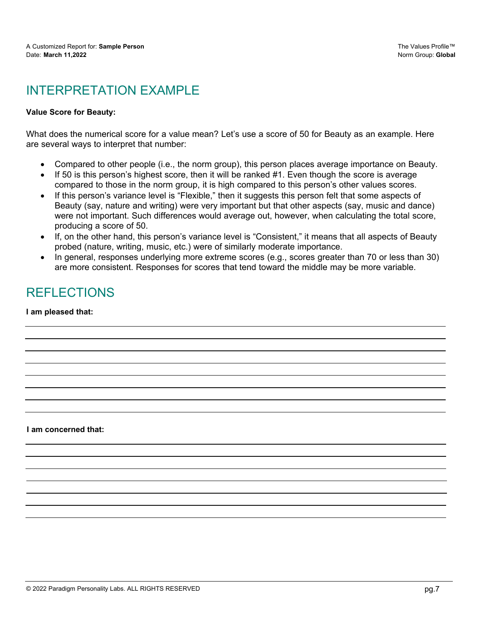## INTERPRETATION FXAMPLE

#### **Value Score for Beauty:**

What does the numerical score for a value mean? Let's use a score of 50 for Beauty as an example. Here are several ways to interpret that number:

- · Compared to other people (i.e., the norm group), this person places average importance on Beauty.
- If 50 is this person's highest score, then it will be ranked  $#1$ . Even though the score is average compared to those in the norm group, it is high compared to this person's other values scores.
- If this person's variance level is "Flexible," then it suggests this person felt that some aspects of Beauty (say, nature and writing) were very important but that other aspects (say, music and dance) were not important. Such differences would average out, however, when calculating the total score, producing a score of 50.
- · If, on the other hand, this person's variance level is "Consistent," it means that all aspects of Beauty probed (nature, writing, music, etc.) were of similarly moderate importance.
- · In general, responses underlying more extreme scores (e.g., scores greater than 70 or less than 30) are more consistent. Responses for scores that tend toward the middle may be more variable.

## REFLECTIONS

**I am pleased that:**

**I am concerned that:**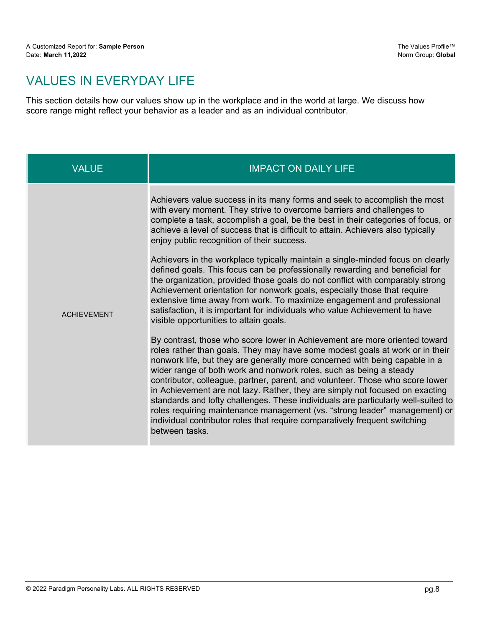## VALUES IN EVERYDAY LIFE

This section details how our values show up in the workplace and in the world at large. We discuss how score range might reflect your behavior as a leader and as an individual contributor.

| Achievers value success in its many forms and seek to accomplish the most<br>with every moment. They strive to overcome barriers and challenges to<br>achieve a level of success that is difficult to attain. Achievers also typically<br>enjoy public recognition of their success.                                                                                                                                                                                                                                                                                                                                                    | VALUE | <b>IMPACT ON DAILY LIFE</b>                                                                                                                                                                                                                                                                                                                                                                                                                                                                                                                                                                                                                                                                                                                          |
|-----------------------------------------------------------------------------------------------------------------------------------------------------------------------------------------------------------------------------------------------------------------------------------------------------------------------------------------------------------------------------------------------------------------------------------------------------------------------------------------------------------------------------------------------------------------------------------------------------------------------------------------|-------|------------------------------------------------------------------------------------------------------------------------------------------------------------------------------------------------------------------------------------------------------------------------------------------------------------------------------------------------------------------------------------------------------------------------------------------------------------------------------------------------------------------------------------------------------------------------------------------------------------------------------------------------------------------------------------------------------------------------------------------------------|
| the organization, provided those goals do not conflict with comparably strong<br>Achievement orientation for nonwork goals, especially those that require<br>extensive time away from work. To maximize engagement and professional<br>satisfaction, it is important for individuals who value Achievement to have<br><b>ACHIEVEMENT</b><br>visible opportunities to attain goals.<br>nonwork life, but they are generally more concerned with being capable in a<br>wider range of both work and nonwork roles, such as being a steady<br>individual contributor roles that require comparatively frequent switching<br>between tasks. |       | complete a task, accomplish a goal, be the best in their categories of focus, or<br>Achievers in the workplace typically maintain a single-minded focus on clearly<br>defined goals. This focus can be professionally rewarding and beneficial for<br>By contrast, those who score lower in Achievement are more oriented toward<br>roles rather than goals. They may have some modest goals at work or in their<br>contributor, colleague, partner, parent, and volunteer. Those who score lower<br>in Achievement are not lazy. Rather, they are simply not focused on exacting<br>standards and lofty challenges. These individuals are particularly well-suited to<br>roles requiring maintenance management (vs. "strong leader" management) or |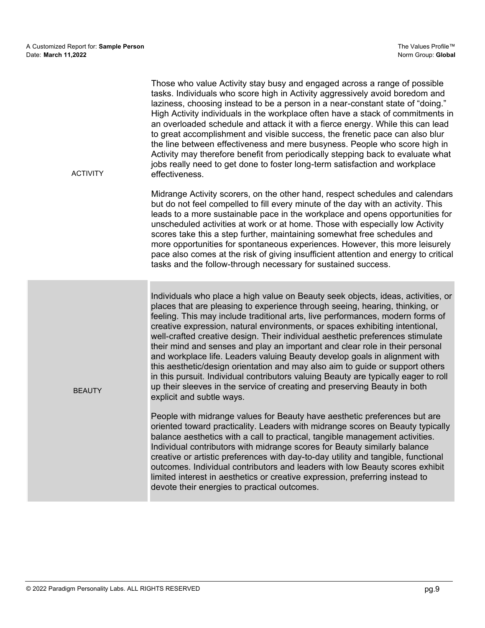| <b>ACTIVITY</b> | Those who value Activity stay busy and engaged across a range of possible<br>tasks. Individuals who score high in Activity aggressively avoid boredom and<br>laziness, choosing instead to be a person in a near-constant state of "doing."<br>High Activity individuals in the workplace often have a stack of commitments in<br>an overloaded schedule and attack it with a fierce energy. While this can lead<br>to great accomplishment and visible success, the frenetic pace can also blur<br>the line between effectiveness and mere busyness. People who score high in<br>Activity may therefore benefit from periodically stepping back to evaluate what<br>jobs really need to get done to foster long-term satisfaction and workplace<br>effectiveness.                                                                                                   |
|-----------------|----------------------------------------------------------------------------------------------------------------------------------------------------------------------------------------------------------------------------------------------------------------------------------------------------------------------------------------------------------------------------------------------------------------------------------------------------------------------------------------------------------------------------------------------------------------------------------------------------------------------------------------------------------------------------------------------------------------------------------------------------------------------------------------------------------------------------------------------------------------------|
|                 | Midrange Activity scorers, on the other hand, respect schedules and calendars<br>but do not feel compelled to fill every minute of the day with an activity. This<br>leads to a more sustainable pace in the workplace and opens opportunities for<br>unscheduled activities at work or at home. Those with especially low Activity<br>scores take this a step further, maintaining somewhat free schedules and<br>more opportunities for spontaneous experiences. However, this more leisurely<br>pace also comes at the risk of giving insufficient attention and energy to critical<br>tasks and the follow-through necessary for sustained success.                                                                                                                                                                                                              |
| <b>BEAUTY</b>   | Individuals who place a high value on Beauty seek objects, ideas, activities, or<br>places that are pleasing to experience through seeing, hearing, thinking, or<br>feeling. This may include traditional arts, live performances, modern forms of<br>creative expression, natural environments, or spaces exhibiting intentional,<br>well-crafted creative design. Their individual aesthetic preferences stimulate<br>their mind and senses and play an important and clear role in their personal<br>and workplace life. Leaders valuing Beauty develop goals in alignment with<br>this aesthetic/design orientation and may also aim to guide or support others<br>in this pursuit. Individual contributors valuing Beauty are typically eager to roll<br>up their sleeves in the service of creating and preserving Beauty in both<br>explicit and subtle ways. |
|                 | People with midrange values for Beauty have aesthetic preferences but are<br>oriented toward practicality. Leaders with midrange scores on Beauty typically<br>balance aesthetics with a call to practical, tangible management activities.<br>Individual contributors with midrange scores for Beauty similarly balance<br>creative or artistic preferences with day-to-day utility and tangible, functional<br>outcomes. Individual contributors and leaders with low Beauty scores exhibit<br>limited interest in aesthetics or creative expression, preferring instead to<br>devote their energies to practical outcomes.                                                                                                                                                                                                                                        |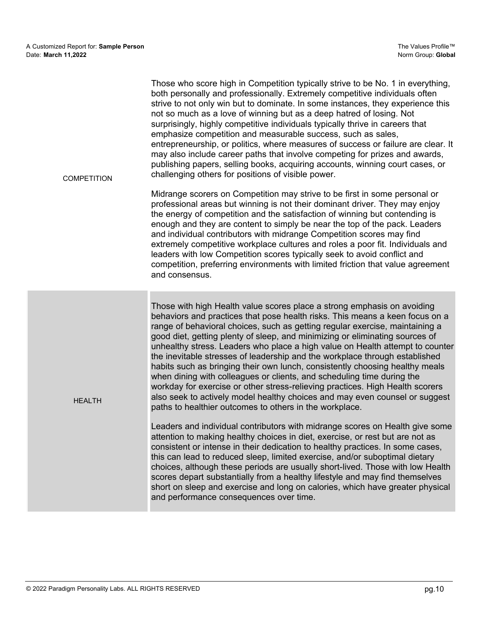| <b>COMPETITION</b> | Those who score high in Competition typically strive to be No. 1 in everything,<br>both personally and professionally. Extremely competitive individuals often<br>strive to not only win but to dominate. In some instances, they experience this<br>not so much as a love of winning but as a deep hatred of losing. Not<br>surprisingly, highly competitive individuals typically thrive in careers that<br>emphasize competition and measurable success, such as sales,<br>entrepreneurship, or politics, where measures of success or failure are clear. It<br>may also include career paths that involve competing for prizes and awards,<br>publishing papers, selling books, acquiring accounts, winning court cases, or<br>challenging others for positions of visible power.                                                                                        |
|--------------------|------------------------------------------------------------------------------------------------------------------------------------------------------------------------------------------------------------------------------------------------------------------------------------------------------------------------------------------------------------------------------------------------------------------------------------------------------------------------------------------------------------------------------------------------------------------------------------------------------------------------------------------------------------------------------------------------------------------------------------------------------------------------------------------------------------------------------------------------------------------------------|
|                    | Midrange scorers on Competition may strive to be first in some personal or<br>professional areas but winning is not their dominant driver. They may enjoy<br>the energy of competition and the satisfaction of winning but contending is<br>enough and they are content to simply be near the top of the pack. Leaders<br>and individual contributors with midrange Competition scores may find<br>extremely competitive workplace cultures and roles a poor fit. Individuals and<br>leaders with low Competition scores typically seek to avoid conflict and<br>competition, preferring environments with limited friction that value agreement<br>and consensus.                                                                                                                                                                                                           |
| <b>HEALTH</b>      | Those with high Health value scores place a strong emphasis on avoiding<br>behaviors and practices that pose health risks. This means a keen focus on a<br>range of behavioral choices, such as getting regular exercise, maintaining a<br>good diet, getting plenty of sleep, and minimizing or eliminating sources of<br>unhealthy stress. Leaders who place a high value on Health attempt to counter<br>the inevitable stresses of leadership and the workplace through established<br>habits such as bringing their own lunch, consistently choosing healthy meals<br>when dining with colleagues or clients, and scheduling time during the<br>workday for exercise or other stress-relieving practices. High Health scorers<br>also seek to actively model healthy choices and may even counsel or suggest<br>paths to healthier outcomes to others in the workplace. |
|                    | Leaders and individual contributors with midrange scores on Health give some<br>attention to making healthy choices in diet, exercise, or rest but are not as<br>consistent or intense in their dedication to healthy practices. In some cases,<br>this can lead to reduced sleep, limited exercise, and/or suboptimal dietary<br>choices, although these periods are usually short-lived. Those with low Health<br>scores depart substantially from a healthy lifestyle and may find themselves<br>short on sleep and exercise and long on calories, which have greater physical<br>and performance consequences over time.                                                                                                                                                                                                                                                 |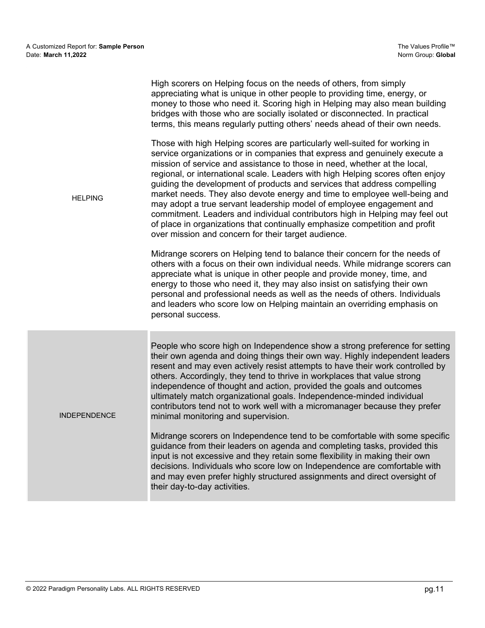| <b>HELPING</b>      | High scorers on Helping focus on the needs of others, from simply<br>appreciating what is unique in other people to providing time, energy, or<br>money to those who need it. Scoring high in Helping may also mean building<br>bridges with those who are socially isolated or disconnected. In practical<br>terms, this means regularly putting others' needs ahead of their own needs.                                                                                                                                                                                                                                                                                                                                                                                      |
|---------------------|--------------------------------------------------------------------------------------------------------------------------------------------------------------------------------------------------------------------------------------------------------------------------------------------------------------------------------------------------------------------------------------------------------------------------------------------------------------------------------------------------------------------------------------------------------------------------------------------------------------------------------------------------------------------------------------------------------------------------------------------------------------------------------|
|                     | Those with high Helping scores are particularly well-suited for working in<br>service organizations or in companies that express and genuinely execute a<br>mission of service and assistance to those in need, whether at the local,<br>regional, or international scale. Leaders with high Helping scores often enjoy<br>guiding the development of products and services that address compelling<br>market needs. They also devote energy and time to employee well-being and<br>may adopt a true servant leadership model of employee engagement and<br>commitment. Leaders and individual contributors high in Helping may feel out<br>of place in organizations that continually emphasize competition and profit<br>over mission and concern for their target audience. |
|                     | Midrange scorers on Helping tend to balance their concern for the needs of<br>others with a focus on their own individual needs. While midrange scorers can<br>appreciate what is unique in other people and provide money, time, and<br>energy to those who need it, they may also insist on satisfying their own<br>personal and professional needs as well as the needs of others. Individuals<br>and leaders who score low on Helping maintain an overriding emphasis on<br>personal success.                                                                                                                                                                                                                                                                              |
| <b>INDEPENDENCE</b> | People who score high on Independence show a strong preference for setting<br>their own agenda and doing things their own way. Highly independent leaders<br>resent and may even actively resist attempts to have their work controlled by<br>others. Accordingly, they tend to thrive in workplaces that value strong<br>independence of thought and action, provided the goals and outcomes<br>ultimately match organizational goals. Independence-minded individual<br>contributors tend not to work well with a micromanager because they prefer<br>minimal monitoring and supervision.                                                                                                                                                                                    |
|                     | Midrange scorers on Independence tend to be comfortable with some specific<br>guidance from their leaders on agenda and completing tasks, provided this<br>input is not excessive and they retain some flexibility in making their own<br>decisions. Individuals who score low on Independence are comfortable with<br>and may even prefer highly structured assignments and direct oversight of<br>their day-to-day activities.                                                                                                                                                                                                                                                                                                                                               |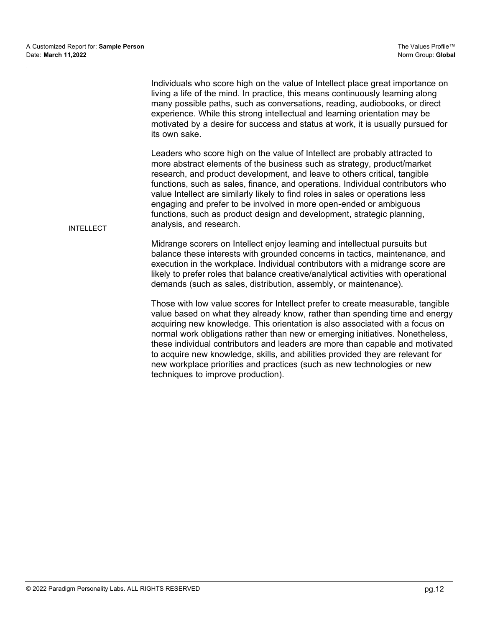Individuals who score high on the value of Intellect place great importance on living a life of the mind. In practice, this means continuously learning along many possible paths, such as conversations, reading, audiobooks, or direct experience. While this strong intellectual and learning orientation may be motivated by a desire for success and status at work, it is usually pursued for its own sake.

Leaders who score high on the value of Intellect are probably attracted to more abstract elements of the business such as strategy, product/market research, and product development, and leave to others critical, tangible functions, such as sales, finance, and operations. Individual contributors who value Intellect are similarly likely to find roles in sales or operations less engaging and prefer to be involved in more open-ended or ambiguous functions, such as product design and development, strategic planning, analysis, and research.

Midrange scorers on Intellect enjoy learning and intellectual pursuits but balance these interests with grounded concerns in tactics, maintenance, and execution in the workplace. Individual contributors with a midrange score are likely to prefer roles that balance creative/analytical activities with operational demands (such as sales, distribution, assembly, or maintenance).

Those with low value scores for Intellect prefer to create measurable, tangible value based on what they already know, rather than spending time and energy acquiring new knowledge. This orientation is also associated with a focus on normal work obligations rather than new or emerging initiatives. Nonetheless, these individual contributors and leaders are more than capable and motivated to acquire new knowledge, skills, and abilities provided they are relevant for new workplace priorities and practices (such as new technologies or new techniques to improve production).

INTELLECT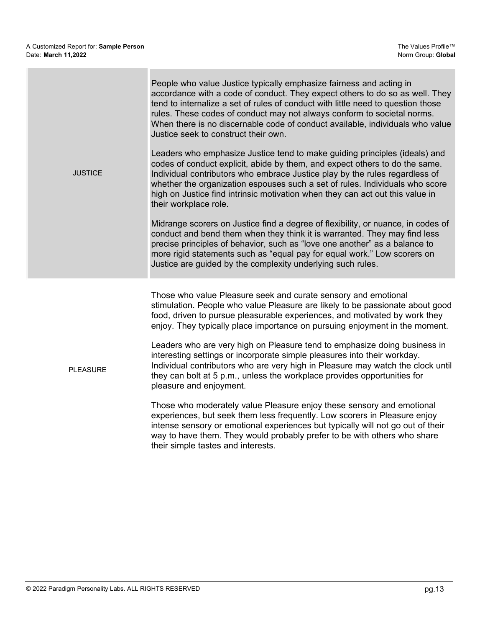PLEASURE

|                | People who value Justice typically emphasize fairness and acting in<br>accordance with a code of conduct. They expect others to do so as well. They<br>tend to internalize a set of rules of conduct with little need to question those<br>rules. These codes of conduct may not always conform to societal norms.<br>When there is no discernable code of conduct available, individuals who value<br>Justice seek to construct their own. |
|----------------|---------------------------------------------------------------------------------------------------------------------------------------------------------------------------------------------------------------------------------------------------------------------------------------------------------------------------------------------------------------------------------------------------------------------------------------------|
| <b>JUSTICE</b> | Leaders who emphasize Justice tend to make guiding principles (ideals) and<br>codes of conduct explicit, abide by them, and expect others to do the same.<br>Individual contributors who embrace Justice play by the rules regardless of<br>whether the organization espouses such a set of rules. Individuals who score<br>high on Justice find intrinsic motivation when they can act out this value in<br>their workplace role.          |
|                | Midrange scorers on Justice find a degree of flexibility, or nuance, in codes of<br>conduct and bend them when they think it is warranted. They may find less<br>precise principles of behavior, such as "love one another" as a balance to<br>more rigid statements such as "equal pay for equal work." Low scorers on<br>Justice are guided by the complexity underlying such rules.                                                      |
|                |                                                                                                                                                                                                                                                                                                                                                                                                                                             |

Those who value Pleasure seek and curate sensory and emotional stimulation. People who value Pleasure are likely to be passionate about good food, driven to pursue pleasurable experiences, and motivated by work they enjoy. They typically place importance on pursuing enjoyment in the moment.

Leaders who are very high on Pleasure tend to emphasize doing business in interesting settings or incorporate simple pleasures into their workday. Individual contributors who are very high in Pleasure may watch the clock until they can bolt at 5 p.m., unless the workplace provides opportunities for pleasure and enjoyment.

Those who moderately value Pleasure enjoy these sensory and emotional experiences, but seek them less frequently. Low scorers in Pleasure enjoy intense sensory or emotional experiences but typically will not go out of their way to have them. They would probably prefer to be with others who share their simple tastes and interests.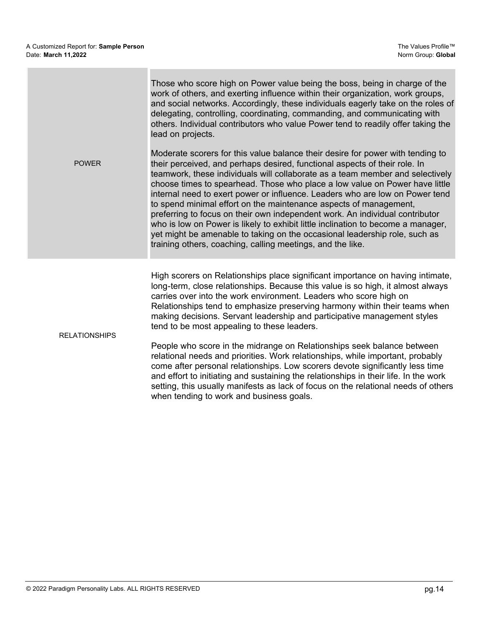| <b>POWER</b>         | Those who score high on Power value being the boss, being in charge of the<br>work of others, and exerting influence within their organization, work groups,<br>and social networks. Accordingly, these individuals eagerly take on the roles of<br>delegating, controlling, coordinating, commanding, and communicating with<br>others. Individual contributors who value Power tend to readily offer taking the<br>lead on projects.<br>Moderate scorers for this value balance their desire for power with tending to<br>their perceived, and perhaps desired, functional aspects of their role. In<br>teamwork, these individuals will collaborate as a team member and selectively<br>choose times to spearhead. Those who place a low value on Power have little<br>internal need to exert power or influence. Leaders who are low on Power tend<br>to spend minimal effort on the maintenance aspects of management,<br>preferring to focus on their own independent work. An individual contributor<br>who is low on Power is likely to exhibit little inclination to become a manager,<br>yet might be amenable to taking on the occasional leadership role, such as<br>training others, coaching, calling meetings, and the like. |
|----------------------|---------------------------------------------------------------------------------------------------------------------------------------------------------------------------------------------------------------------------------------------------------------------------------------------------------------------------------------------------------------------------------------------------------------------------------------------------------------------------------------------------------------------------------------------------------------------------------------------------------------------------------------------------------------------------------------------------------------------------------------------------------------------------------------------------------------------------------------------------------------------------------------------------------------------------------------------------------------------------------------------------------------------------------------------------------------------------------------------------------------------------------------------------------------------------------------------------------------------------------------------|
| <b>RELATIONSHIPS</b> | High scorers on Relationships place significant importance on having intimate,<br>long-term, close relationships. Because this value is so high, it almost always<br>carries over into the work environment. Leaders who score high on<br>Relationships tend to emphasize preserving harmony within their teams when<br>making decisions. Servant leadership and participative management styles<br>tend to be most appealing to these leaders.<br>People who score in the midrange on Relationships seek balance between<br>relational needs and priorities. Work relationships, while important, probably<br>come after personal relationships. Low scorers devote significantly less time<br>and effort to initiating and sustaining the relationships in their life. In the work                                                                                                                                                                                                                                                                                                                                                                                                                                                        |

when tending to work and business goals.

setting, this usually manifests as lack of focus on the relational needs of others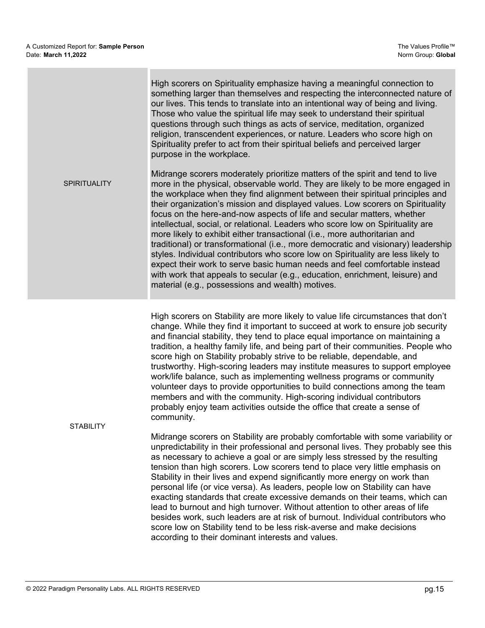|                     | High scorers on Spirituality emphasize having a meaningful connection to<br>something larger than themselves and respecting the interconnected nature of<br>our lives. This tends to translate into an intentional way of being and living.<br>Those who value the spiritual life may seek to understand their spiritual<br>questions through such things as acts of service, meditation, organized<br>religion, transcendent experiences, or nature. Leaders who score high on<br>Spirituality prefer to act from their spiritual beliefs and perceived larger<br>purpose in the workplace.                                                                                                                                                                                                                                                                                                                                                                         |
|---------------------|----------------------------------------------------------------------------------------------------------------------------------------------------------------------------------------------------------------------------------------------------------------------------------------------------------------------------------------------------------------------------------------------------------------------------------------------------------------------------------------------------------------------------------------------------------------------------------------------------------------------------------------------------------------------------------------------------------------------------------------------------------------------------------------------------------------------------------------------------------------------------------------------------------------------------------------------------------------------|
| <b>SPIRITUALITY</b> | Midrange scorers moderately prioritize matters of the spirit and tend to live<br>more in the physical, observable world. They are likely to be more engaged in<br>the workplace when they find alignment between their spiritual principles and<br>their organization's mission and displayed values. Low scorers on Spirituality<br>focus on the here-and-now aspects of life and secular matters, whether<br>intellectual, social, or relational. Leaders who score low on Spirituality are<br>more likely to exhibit either transactional (i.e., more authoritarian and<br>traditional) or transformational (i.e., more democratic and visionary) leadership<br>styles. Individual contributors who score low on Spirituality are less likely to<br>expect their work to serve basic human needs and feel comfortable instead<br>with work that appeals to secular (e.g., education, enrichment, leisure) and<br>material (e.g., possessions and wealth) motives. |

High scorers on Stability are more likely to value life circumstances that don't change. While they find it important to succeed at work to ensure job security and financial stability, they tend to place equal importance on maintaining a tradition, a healthy family life, and being part of their communities. People who score high on Stability probably strive to be reliable, dependable, and trustworthy. High-scoring leaders may institute measures to support employee work/life balance, such as implementing wellness programs or community volunteer days to provide opportunities to build connections among the team members and with the community. High-scoring individual contributors probably enjoy team activities outside the office that create a sense of community.

**STABILITY** 

Midrange scorers on Stability are probably comfortable with some variability or unpredictability in their professional and personal lives. They probably see this as necessary to achieve a goal or are simply less stressed by the resulting tension than high scorers. Low scorers tend to place very little emphasis on Stability in their lives and expend significantly more energy on work than personal life (or vice versa). As leaders, people low on Stability can have exacting standards that create excessive demands on their teams, which can lead to burnout and high turnover. Without attention to other areas of life besides work, such leaders are at risk of burnout. Individual contributors who score low on Stability tend to be less risk-averse and make decisions according to their dominant interests and values.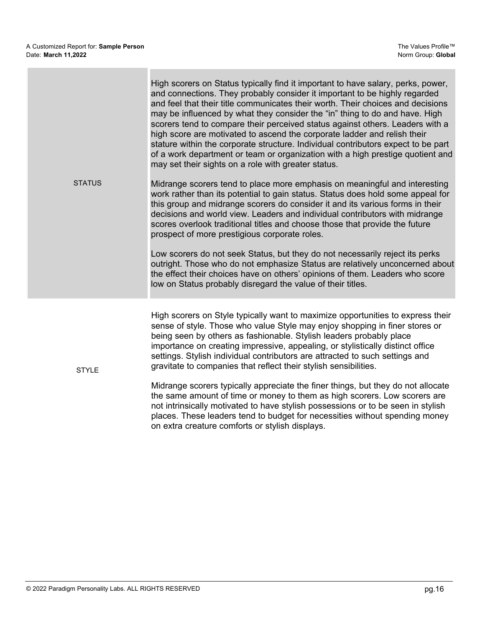| <b>STATUS</b> | High scorers on Status typically find it important to have salary, perks, power,<br>and connections. They probably consider it important to be highly regarded<br>and feel that their title communicates their worth. Their choices and decisions<br>may be influenced by what they consider the "in" thing to do and have. High<br>scorers tend to compare their perceived status against others. Leaders with a<br>high score are motivated to ascend the corporate ladder and relish their<br>stature within the corporate structure. Individual contributors expect to be part<br>of a work department or team or organization with a high prestige quotient and<br>may set their sights on a role with greater status.<br>Midrange scorers tend to place more emphasis on meaningful and interesting<br>work rather than its potential to gain status. Status does hold some appeal for<br>this group and midrange scorers do consider it and its various forms in their<br>decisions and world view. Leaders and individual contributors with midrange<br>scores overlook traditional titles and choose those that provide the future<br>prospect of more prestigious corporate roles.<br>Low scorers do not seek Status, but they do not necessarily reject its perks<br>outright. Those who do not emphasize Status are relatively unconcerned about<br>the effect their choices have on others' opinions of them. Leaders who score<br>low on Status probably disregard the value of their titles. |
|---------------|-------------------------------------------------------------------------------------------------------------------------------------------------------------------------------------------------------------------------------------------------------------------------------------------------------------------------------------------------------------------------------------------------------------------------------------------------------------------------------------------------------------------------------------------------------------------------------------------------------------------------------------------------------------------------------------------------------------------------------------------------------------------------------------------------------------------------------------------------------------------------------------------------------------------------------------------------------------------------------------------------------------------------------------------------------------------------------------------------------------------------------------------------------------------------------------------------------------------------------------------------------------------------------------------------------------------------------------------------------------------------------------------------------------------------------------------------------------------------------------------------------------|
| <b>STYLE</b>  | High scorers on Style typically want to maximize opportunities to express their<br>sense of style. Those who value Style may enjoy shopping in finer stores or<br>being seen by others as fashionable. Stylish leaders probably place<br>importance on creating impressive, appealing, or stylistically distinct office<br>settings. Stylish individual contributors are attracted to such settings and<br>gravitate to companies that reflect their stylish sensibilities.<br>Midrange scorers typically appreciate the finer things, but they do not allocate<br>the same amount of time or money to them as high scorers. Low scorers are<br>not intrinsically motivated to have stylish possessions or to be seen in stylish<br>places. These leaders tend to budget for necessities without spending money<br>on extra creature comforts or stylish displays.                                                                                                                                                                                                                                                                                                                                                                                                                                                                                                                                                                                                                                          |